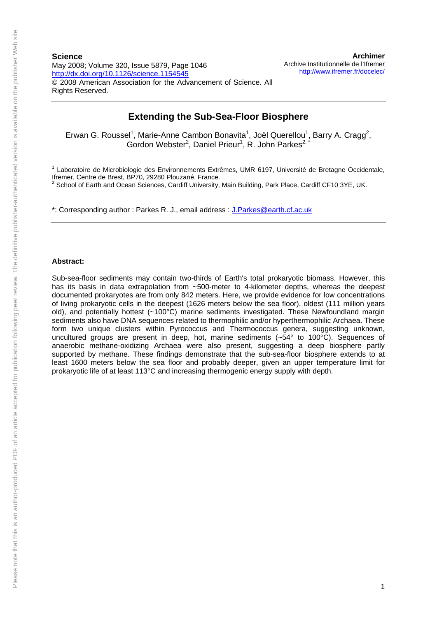## **Extending the Sub-Sea-Floor Biosphere**

Erwan G. Roussel<sup>1</sup>, Marie-Anne Cambon Bonavita<sup>1</sup>, Joël Querellou<sup>1</sup>, Barry A. Cragg<sup>2</sup>, Gordon Webster<sup>2</sup>, Daniel Prieur<sup>1</sup>, R. John Parkes<sup>2,\*</sup>

<sup>1</sup> Laboratoire de Microbiologie des Environnements Extrêmes, UMR 6197, Université de Bretagne Occidentale, Ifremer, Centre de Brest, BP70, 29280 Plouzané, France.

 $2$  School of Earth and Ocean Sciences, Cardiff University, Main Building, Park Place, Cardiff CF10 3YE, UK.

\*: Corresponding author : Parkes R. J., email address : [J.Parkes@earth.cf.ac.uk](mailto:J.Parkes@earth.cf.ac.uk)

## **Abstract:**

Sub-sea-floor sediments may contain two-thirds of Earth's total prokaryotic biomass. However, this has its basis in data extrapolation from ~500-meter to 4-kilometer depths, whereas the deepest documented prokaryotes are from only 842 meters. Here, we provide evidence for low concentrations of living prokaryotic cells in the deepest (1626 meters below the sea floor), oldest (111 million years old), and potentially hottest (~100°C) marine sediments investigated. These Newfoundland margin sediments also have DNA sequences related to thermophilic and/or hyperthermophilic Archaea. These form two unique clusters within Pyrococcus and Thermococcus genera, suggesting unknown, uncultured groups are present in deep, hot, marine sediments (~54° to 100°C). Sequences of anaerobic methane-oxidizing Archaea were also present, suggesting a deep biosphere partly supported by methane. These findings demonstrate that the sub-sea-floor biosphere extends to at least 1600 meters below the sea floor and probably deeper, given an upper temperature limit for prokaryotic life of at least 113°C and increasing thermogenic energy supply with depth.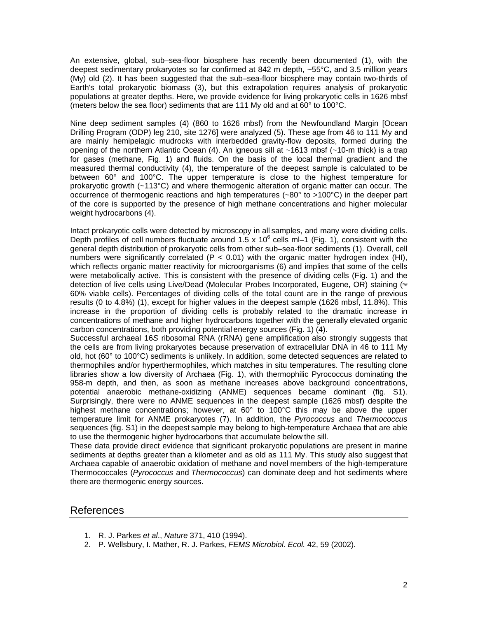An extensive, global, sub–sea-floor biosphere has recently been documented (1), with the deepest sedimentary prokaryotes so far confirmed at 842 m depth, ~55°C, and 3.5 million years (My) old (2). It has been suggested that the sub–sea-floor biosphere may contain two-thirds of Earth's total prokaryotic biomass (3), but this extrapolation requires analysis of prokaryotic populations at greater depths. Here, we provide evidence for living prokaryotic cells in 1626 mbsf (meters below the sea floor) sediments that are 111 My old and at 60° to 100°C.

Nine deep sediment samples (4) (860 to 1626 mbsf) from the Newfoundland Margin [Ocean Drilling Program (ODP) leg 210, site 1276] were analyzed (5). These age from 46 to 111 My and are mainly hemipelagic mudrocks with interbedded gravity-flow deposits, formed during the opening of the northern Atlantic Ocean  $(4)$ . An igneous sill at  $\sim$ 1613 mbsf ( $\sim$ 10-m thick) is a trap for gases (methane, Fig. 1) and fluids. On the basis of the local thermal gradient and the measured thermal conductivity (4), the temperature of the deepest sample is calculated to be between 60° and 100°C. The upper temperature is close to the highest temperature for prokaryotic growth (~113°C) and where thermogenic alteration of organic matter can occur. The occurrence of thermogenic reactions and high temperatures ( $\sim 80^\circ$  to  $>100^\circ$ C) in the deeper part of the core is supported by the presence of high methane concentrations and higher molecular weight hydrocarbons (4).

Intact prokaryotic cells were detected by microscopy in all samples, and many were dividing cells. Depth profiles of cell numbers fluctuate around  $1.5 \times 10^6$  cells ml-1 [\(Fig. 1](http://www.sciencemag.org/cgi/content/full/320/5879/1046#FIG1)), consistent with the general depth distribution of prokaryotic cells from other sub–sea-floor sediments [\(1\)](http://www.sciencemag.org/cgi/content/full/320/5879/1046#REF1). Overall, cell numbers were significantly correlated ( $P < 0.01$ ) with the organic matter hydrogen index (HI), which reflects organic matter reactivity for microorganisms ([6](http://www.sciencemag.org/cgi/content/full/320/5879/1046#REF6)) and implies that some of the cells were metabolically active. This is consistent with the presence of dividing cells [\(Fig. 1](http://www.sciencemag.org/cgi/content/full/320/5879/1046#FIG1)) and the detection of live cells using Live/Dead (Molecular Probes Incorporated, Eugene, OR) staining ( 60% viable cells). Percentages of dividing cells of the total count are in the range of previous results (0 to 4.8%) ([1](http://www.sciencemag.org/cgi/content/full/320/5879/1046#REF1)), except for higher values in the deepest sample (1626 mbsf, 11.8%). This increase in the proportion of dividing cells is probably related to the dramatic increase in concentrations of methane and higher hydrocarbons together with the generally elevated organic carbon concentrations, both providing potential energy sources ([Fig. 1\)](http://www.sciencemag.org/cgi/content/full/320/5879/1046#FIG1) [\(4\)](http://www.sciencemag.org/cgi/content/full/320/5879/1046#REF4).

Successful archaeal 16*S* ribosomal RNA (rRNA) gene amplification also strongly suggests that the cells are from living prokaryotes because preservation of extracellular DNA in 46 to 111 My old, hot (60° to 100°C) sediments is unlikely. In addition, some detected sequences are related to thermophiles and/or hyperthermophiles, which matches in situ temperatures. The resulting clone libraries show a low diversity of Archaea [\(Fig. 1](http://www.sciencemag.org/cgi/content/full/320/5879/1046#FIG1)), with thermophilic Pyrococcus dominating the 958-m depth, and then, as soon as methane increases above background concentrations, potential anaerobic methane-oxidizing (ANME) sequences became dominant (fig. S1). Surprisingly, there were no ANME sequences in the deepest sample (1626 mbsf) despite the highest methane concentrations; however, at 60° to 100°C this may be above the upper temperature limit for ANME prokaryotes ([7](http://www.sciencemag.org/cgi/content/full/320/5879/1046#REF7)). In addition, the *Pyrococcus* and *Thermococcus* sequences (fig. S1) in the deepest sample may belong to high-temperature Archaea that are able to use the thermogenic higher hydrocarbons that accumulate below the sill.

These data provide direct evidence that significant prokaryotic populations are present in marine sediments at depths greater than a kilometer and as old as 111 My. This study also suggest that Archaea capable of anaerobic oxidation of methane and novel members of the high-temperature Thermococcales (*Pyrococcus* and *Thermococcus*) can dominate deep and hot sediments where there are thermogenic energy sources.

## References

- 1. R. J. Parkes *et al*., *Nature* 371, 410 (1994).
- 2. P. Wellsbury, I. Mather, R. J. Parkes, *FEMS Microbiol. Ecol.* 42, 59 (2002).